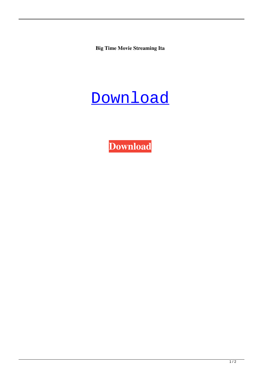**Big Time Movie Streaming Ita**



**[Download](http://evacdir.com/blacklip/conviction/QmlnIHRpbWUgbW92aWUgc3RyZWFtaW5nIGl0YQQml?workmanship=mucinex?ZG93bmxvYWR8N1ViTW14M00zeDhNVFkxTWpjME1EZzJObng4TWpVM05IeDhLRTBwSUhKbFlXUXRZbXh2WnlCYlJtRnpkQ0JIUlU1ZA=ameliorate)**